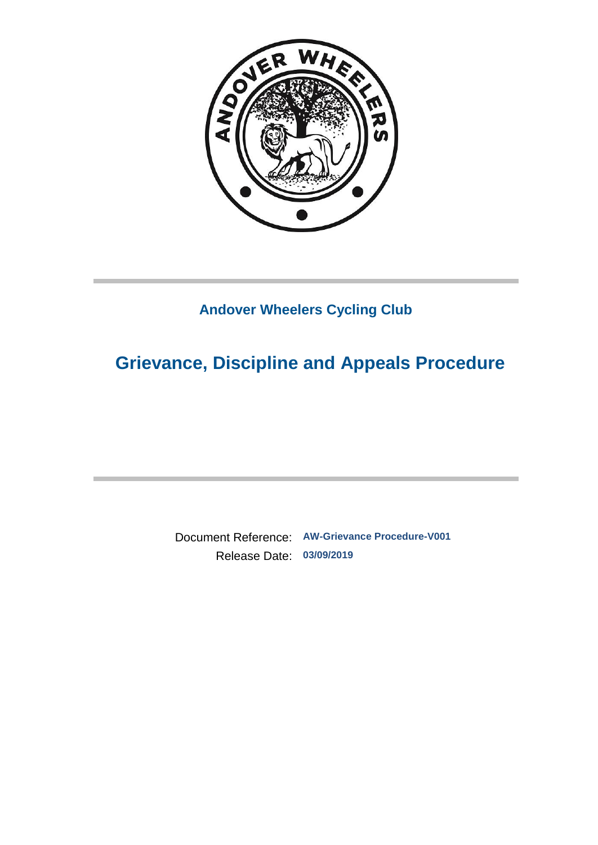

## **Andover Wheelers Cycling Club**

# **Grievance, Discipline and Appeals Procedure**

Document Reference: **AW-Grievance Procedure-V001** Release Date: **03/09/2019**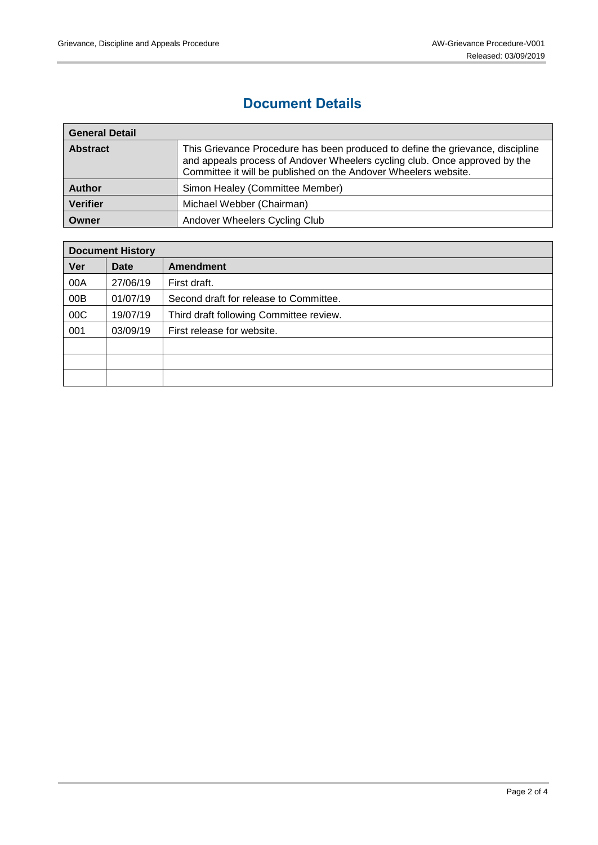### **Document Details**

| <b>General Detail</b> |                                                                                                                                                                                                                                 |  |
|-----------------------|---------------------------------------------------------------------------------------------------------------------------------------------------------------------------------------------------------------------------------|--|
| <b>Abstract</b>       | This Grievance Procedure has been produced to define the grievance, discipline<br>and appeals process of Andover Wheelers cycling club. Once approved by the<br>Committee it will be published on the Andover Wheelers website. |  |
| <b>Author</b>         | Simon Healey (Committee Member)                                                                                                                                                                                                 |  |
| <b>Verifier</b>       | Michael Webber (Chairman)                                                                                                                                                                                                       |  |
| Owner                 | Andover Wheelers Cycling Club                                                                                                                                                                                                   |  |

| <b>Document History</b> |          |                                         |  |
|-------------------------|----------|-----------------------------------------|--|
| Ver                     | Date     | Amendment                               |  |
| 00A                     | 27/06/19 | First draft.                            |  |
| 00B                     | 01/07/19 | Second draft for release to Committee.  |  |
| 00C                     | 19/07/19 | Third draft following Committee review. |  |
| 001                     | 03/09/19 | First release for website.              |  |
|                         |          |                                         |  |
|                         |          |                                         |  |
|                         |          |                                         |  |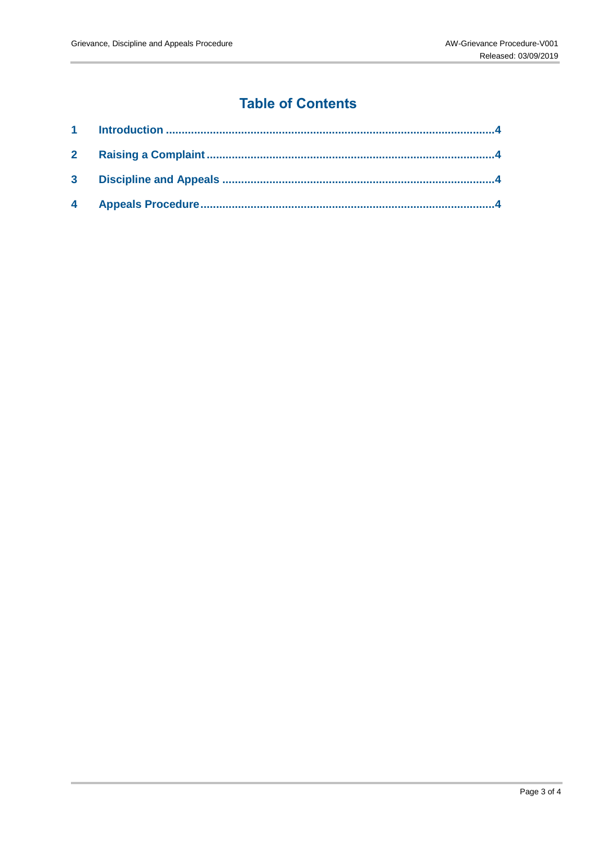## **Table of Contents**